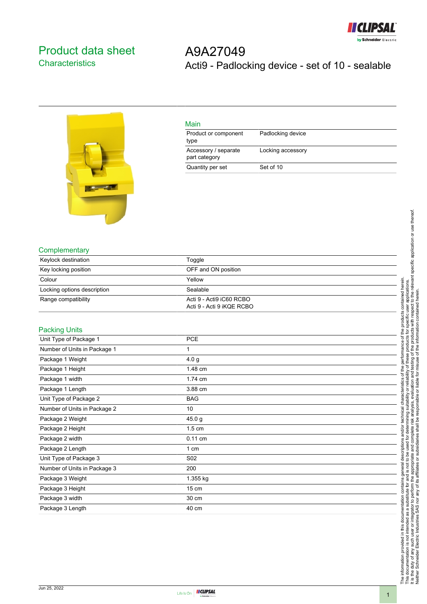

## <span id="page-0-0"></span>Product data sheet **Characteristics**

A9A27049 Acti9 - Padlocking device - set of 10 - sealable



| Main                                  |                   |
|---------------------------------------|-------------------|
| Product or component<br>type          | Padlocking device |
| Accessory / separate<br>part category | Locking accessory |
| Quantity per set                      | Set of 10         |

## **Complementary**

| Keylock destination         | Toggle                                                |
|-----------------------------|-------------------------------------------------------|
| Key locking position        | OFF and ON position                                   |
| Colour                      | Yellow                                                |
| Locking options description | Sealable                                              |
| Range compatibility         | Acti 9 - Acti9 iC60 RCBO<br>Acti 9 - Acti 9 iKQE RCBO |

## Packing Units

| <b>PCE</b>       |
|------------------|
|                  |
| 1                |
| 4.0 <sub>g</sub> |
| 1.48 cm          |
| 1.74 cm          |
| 3.88 cm          |
| <b>BAG</b>       |
| 10               |
| 45.0 g           |
| $1.5 \text{ cm}$ |
| $0.11$ cm        |
| 1 cm             |
| S <sub>02</sub>  |
| 200              |
| 1.355 kg         |
| $15 \text{ cm}$  |
| 30 cm            |
| 40 cm            |
|                  |